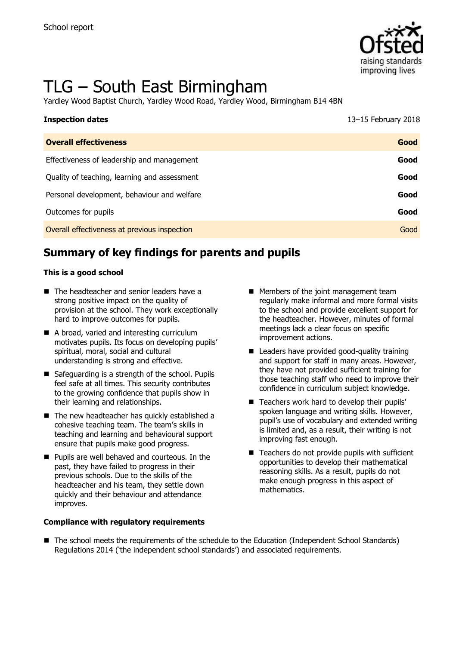

# TLG – South East Birmingham

Yardley Wood Baptist Church, Yardley Wood Road, Yardley Wood, Birmingham B14 4BN

| <b>Inspection dates</b>                      | 13-15 February 2018 |
|----------------------------------------------|---------------------|
| <b>Overall effectiveness</b>                 | Good                |
| Effectiveness of leadership and management   | Good                |
| Quality of teaching, learning and assessment | Good                |
| Personal development, behaviour and welfare  | Good                |
| Outcomes for pupils                          | Good                |
| Overall effectiveness at previous inspection | Good                |

# **Summary of key findings for parents and pupils**

#### **This is a good school**

- The headteacher and senior leaders have a strong positive impact on the quality of provision at the school. They work exceptionally hard to improve outcomes for pupils.
- A broad, varied and interesting curriculum motivates pupils. Its focus on developing pupils' spiritual, moral, social and cultural understanding is strong and effective.
- Safeguarding is a strength of the school. Pupils feel safe at all times. This security contributes to the growing confidence that pupils show in their learning and relationships.
- The new headteacher has quickly established a cohesive teaching team. The team's skills in teaching and learning and behavioural support ensure that pupils make good progress.
- **Pupils are well behaved and courteous. In the** past, they have failed to progress in their previous schools. Due to the skills of the headteacher and his team, they settle down quickly and their behaviour and attendance improves.

#### **Compliance with regulatory requirements**

- **Members of the joint management team** regularly make informal and more formal visits to the school and provide excellent support for the headteacher. However, minutes of formal meetings lack a clear focus on specific improvement actions.
- Leaders have provided good-quality training and support for staff in many areas. However, they have not provided sufficient training for those teaching staff who need to improve their confidence in curriculum subject knowledge.
- Teachers work hard to develop their pupils' spoken language and writing skills. However, pupil's use of vocabulary and extended writing is limited and, as a result, their writing is not improving fast enough.
- $\blacksquare$  Teachers do not provide pupils with sufficient opportunities to develop their mathematical reasoning skills. As a result, pupils do not make enough progress in this aspect of mathematics.
- The school meets the requirements of the schedule to the Education (Independent School Standards) Regulations 2014 ('the independent school standards') and associated requirements.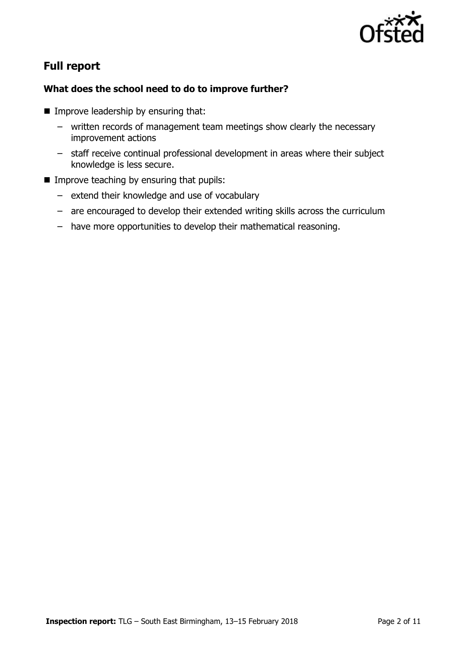

# **Full report**

#### **What does the school need to do to improve further?**

- **Improve leadership by ensuring that:** 
	- written records of management team meetings show clearly the necessary improvement actions
	- staff receive continual professional development in areas where their subject knowledge is less secure.
- $\blacksquare$  Improve teaching by ensuring that pupils:
	- extend their knowledge and use of vocabulary
	- are encouraged to develop their extended writing skills across the curriculum
	- have more opportunities to develop their mathematical reasoning.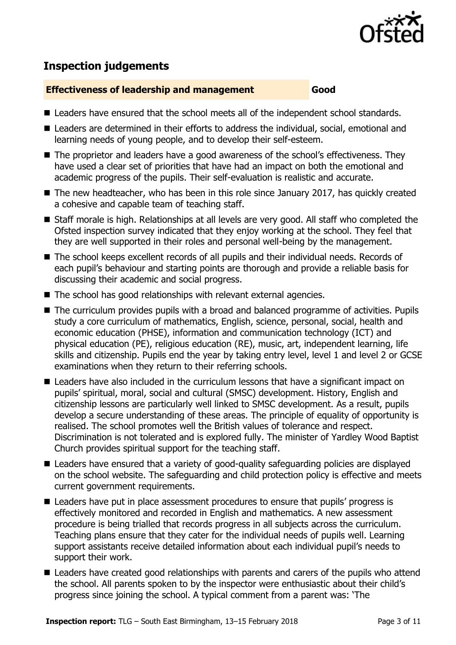

# **Inspection judgements**

#### **Effectiveness of leadership and management Good**

- Leaders have ensured that the school meets all of the independent school standards.
- Leaders are determined in their efforts to address the individual, social, emotional and learning needs of young people, and to develop their self-esteem.
- The proprietor and leaders have a good awareness of the school's effectiveness. They have used a clear set of priorities that have had an impact on both the emotional and academic progress of the pupils. Their self-evaluation is realistic and accurate.
- The new headteacher, who has been in this role since January 2017, has quickly created a cohesive and capable team of teaching staff.
- Staff morale is high. Relationships at all levels are very good. All staff who completed the Ofsted inspection survey indicated that they enjoy working at the school. They feel that they are well supported in their roles and personal well-being by the management.
- The school keeps excellent records of all pupils and their individual needs. Records of each pupil's behaviour and starting points are thorough and provide a reliable basis for discussing their academic and social progress.
- The school has good relationships with relevant external agencies.
- The curriculum provides pupils with a broad and balanced programme of activities. Pupils study a core curriculum of mathematics, English, science, personal, social, health and economic education (PHSE), information and communication technology (ICT) and physical education (PE), religious education (RE), music, art, independent learning, life skills and citizenship. Pupils end the year by taking entry level, level 1 and level 2 or GCSE examinations when they return to their referring schools.
- Leaders have also included in the curriculum lessons that have a significant impact on pupils' spiritual, moral, social and cultural (SMSC) development. History, English and citizenship lessons are particularly well linked to SMSC development. As a result, pupils develop a secure understanding of these areas. The principle of equality of opportunity is realised. The school promotes well the British values of tolerance and respect. Discrimination is not tolerated and is explored fully. The minister of Yardley Wood Baptist Church provides spiritual support for the teaching staff.
- Leaders have ensured that a variety of good-quality safeguarding policies are displayed on the school website. The safeguarding and child protection policy is effective and meets current government requirements.
- Leaders have put in place assessment procedures to ensure that pupils' progress is effectively monitored and recorded in English and mathematics. A new assessment procedure is being trialled that records progress in all subjects across the curriculum. Teaching plans ensure that they cater for the individual needs of pupils well. Learning support assistants receive detailed information about each individual pupil's needs to support their work.
- Leaders have created good relationships with parents and carers of the pupils who attend the school. All parents spoken to by the inspector were enthusiastic about their child's progress since joining the school. A typical comment from a parent was: 'The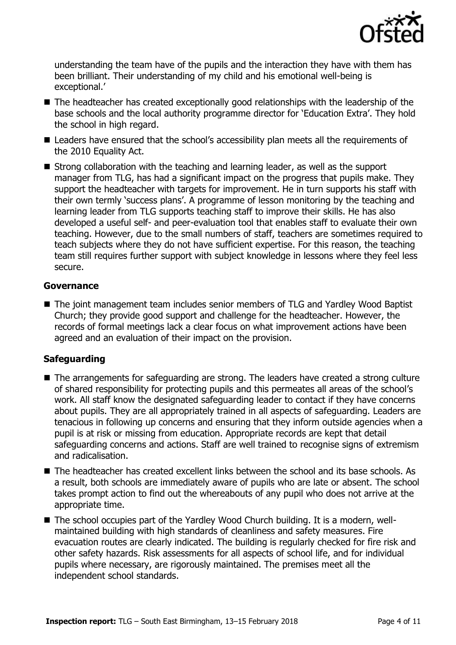

understanding the team have of the pupils and the interaction they have with them has been brilliant. Their understanding of my child and his emotional well-being is exceptional.'

- The headteacher has created exceptionally good relationships with the leadership of the base schools and the local authority programme director for 'Education Extra'. They hold the school in high regard.
- Leaders have ensured that the school's accessibility plan meets all the requirements of the 2010 Equality Act.
- Strong collaboration with the teaching and learning leader, as well as the support manager from TLG, has had a significant impact on the progress that pupils make. They support the headteacher with targets for improvement. He in turn supports his staff with their own termly 'success plans'. A programme of lesson monitoring by the teaching and learning leader from TLG supports teaching staff to improve their skills. He has also developed a useful self- and peer-evaluation tool that enables staff to evaluate their own teaching. However, due to the small numbers of staff, teachers are sometimes required to teach subjects where they do not have sufficient expertise. For this reason, the teaching team still requires further support with subject knowledge in lessons where they feel less secure.

#### **Governance**

■ The joint management team includes senior members of TLG and Yardley Wood Baptist Church; they provide good support and challenge for the headteacher. However, the records of formal meetings lack a clear focus on what improvement actions have been agreed and an evaluation of their impact on the provision.

### **Safeguarding**

- The arrangements for safeguarding are strong. The leaders have created a strong culture of shared responsibility for protecting pupils and this permeates all areas of the school's work. All staff know the designated safeguarding leader to contact if they have concerns about pupils. They are all appropriately trained in all aspects of safeguarding. Leaders are tenacious in following up concerns and ensuring that they inform outside agencies when a pupil is at risk or missing from education. Appropriate records are kept that detail safeguarding concerns and actions. Staff are well trained to recognise signs of extremism and radicalisation.
- The headteacher has created excellent links between the school and its base schools. As a result, both schools are immediately aware of pupils who are late or absent. The school takes prompt action to find out the whereabouts of any pupil who does not arrive at the appropriate time.
- The school occupies part of the Yardley Wood Church building. It is a modern, wellmaintained building with high standards of cleanliness and safety measures. Fire evacuation routes are clearly indicated. The building is regularly checked for fire risk and other safety hazards. Risk assessments for all aspects of school life, and for individual pupils where necessary, are rigorously maintained. The premises meet all the independent school standards.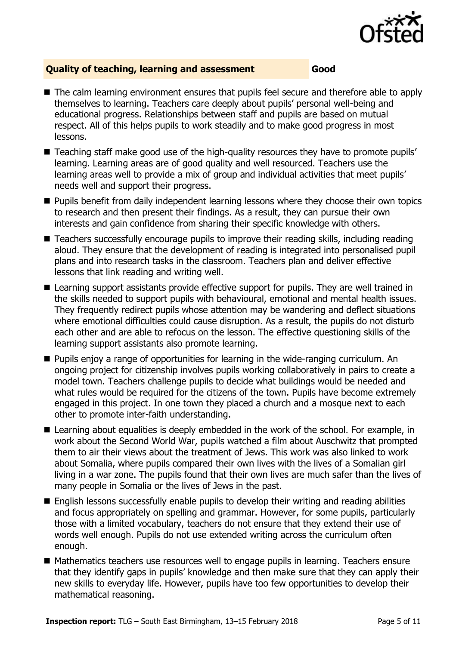

#### **Quality of teaching, learning and assessment Good**

- The calm learning environment ensures that pupils feel secure and therefore able to apply themselves to learning. Teachers care deeply about pupils' personal well-being and educational progress. Relationships between staff and pupils are based on mutual respect. All of this helps pupils to work steadily and to make good progress in most lessons.
- Teaching staff make good use of the high-quality resources they have to promote pupils' learning. Learning areas are of good quality and well resourced. Teachers use the learning areas well to provide a mix of group and individual activities that meet pupils' needs well and support their progress.
- **Pupils benefit from daily independent learning lessons where they choose their own topics** to research and then present their findings. As a result, they can pursue their own interests and gain confidence from sharing their specific knowledge with others.
- Teachers successfully encourage pupils to improve their reading skills, including reading aloud. They ensure that the development of reading is integrated into personalised pupil plans and into research tasks in the classroom. Teachers plan and deliver effective lessons that link reading and writing well.
- Learning support assistants provide effective support for pupils. They are well trained in the skills needed to support pupils with behavioural, emotional and mental health issues. They frequently redirect pupils whose attention may be wandering and deflect situations where emotional difficulties could cause disruption. As a result, the pupils do not disturb each other and are able to refocus on the lesson. The effective questioning skills of the learning support assistants also promote learning.
- **Pupils enjoy a range of opportunities for learning in the wide-ranging curriculum. An** ongoing project for citizenship involves pupils working collaboratively in pairs to create a model town. Teachers challenge pupils to decide what buildings would be needed and what rules would be required for the citizens of the town. Pupils have become extremely engaged in this project. In one town they placed a church and a mosque next to each other to promote inter-faith understanding.
- Learning about equalities is deeply embedded in the work of the school. For example, in work about the Second World War, pupils watched a film about Auschwitz that prompted them to air their views about the treatment of Jews. This work was also linked to work about Somalia, where pupils compared their own lives with the lives of a Somalian girl living in a war zone. The pupils found that their own lives are much safer than the lives of many people in Somalia or the lives of Jews in the past.
- English lessons successfully enable pupils to develop their writing and reading abilities and focus appropriately on spelling and grammar. However, for some pupils, particularly those with a limited vocabulary, teachers do not ensure that they extend their use of words well enough. Pupils do not use extended writing across the curriculum often enough.
- Mathematics teachers use resources well to engage pupils in learning. Teachers ensure that they identify gaps in pupils' knowledge and then make sure that they can apply their new skills to everyday life. However, pupils have too few opportunities to develop their mathematical reasoning.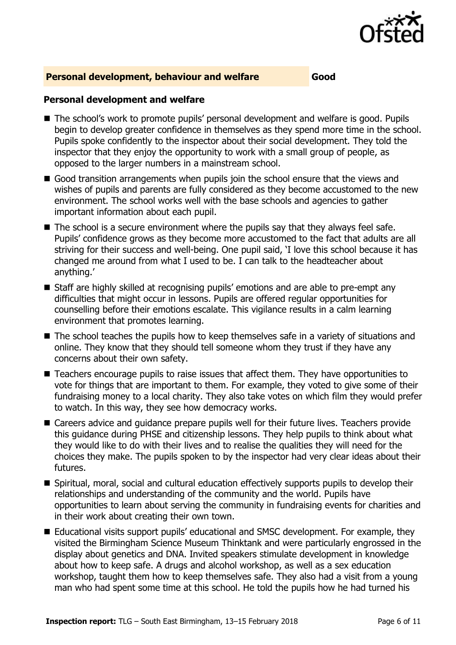

#### **Personal development, behaviour and welfare Good**

#### **Personal development and welfare**

- The school's work to promote pupils' personal development and welfare is good. Pupils begin to develop greater confidence in themselves as they spend more time in the school. Pupils spoke confidently to the inspector about their social development. They told the inspector that they enjoy the opportunity to work with a small group of people, as opposed to the larger numbers in a mainstream school.
- Good transition arrangements when pupils join the school ensure that the views and wishes of pupils and parents are fully considered as they become accustomed to the new environment. The school works well with the base schools and agencies to gather important information about each pupil.
- $\blacksquare$  The school is a secure environment where the pupils say that they always feel safe. Pupils' confidence grows as they become more accustomed to the fact that adults are all striving for their success and well-being. One pupil said, 'I love this school because it has changed me around from what I used to be. I can talk to the headteacher about anything.'
- Staff are highly skilled at recognising pupils' emotions and are able to pre-empt any difficulties that might occur in lessons. Pupils are offered regular opportunities for counselling before their emotions escalate. This vigilance results in a calm learning environment that promotes learning.
- The school teaches the pupils how to keep themselves safe in a variety of situations and online. They know that they should tell someone whom they trust if they have any concerns about their own safety.
- Teachers encourage pupils to raise issues that affect them. They have opportunities to vote for things that are important to them. For example, they voted to give some of their fundraising money to a local charity. They also take votes on which film they would prefer to watch. In this way, they see how democracy works.
- Careers advice and quidance prepare pupils well for their future lives. Teachers provide this guidance during PHSE and citizenship lessons. They help pupils to think about what they would like to do with their lives and to realise the qualities they will need for the choices they make. The pupils spoken to by the inspector had very clear ideas about their futures.
- Spiritual, moral, social and cultural education effectively supports pupils to develop their relationships and understanding of the community and the world. Pupils have opportunities to learn about serving the community in fundraising events for charities and in their work about creating their own town.
- Educational visits support pupils' educational and SMSC development. For example, they visited the Birmingham Science Museum Thinktank and were particularly engrossed in the display about genetics and DNA. Invited speakers stimulate development in knowledge about how to keep safe. A drugs and alcohol workshop, as well as a sex education workshop, taught them how to keep themselves safe. They also had a visit from a young man who had spent some time at this school. He told the pupils how he had turned his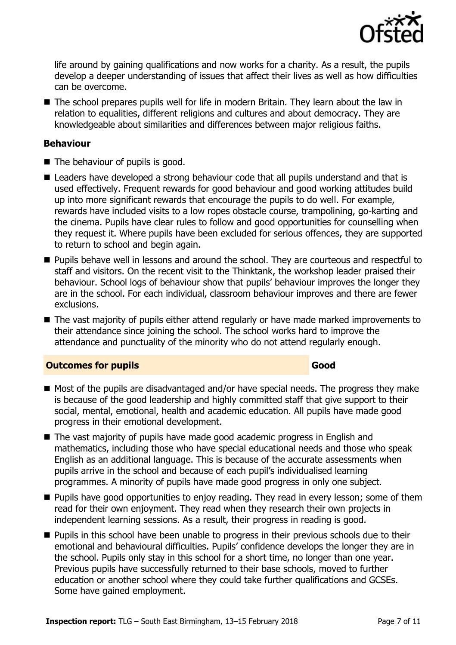

life around by gaining qualifications and now works for a charity. As a result, the pupils develop a deeper understanding of issues that affect their lives as well as how difficulties can be overcome.

■ The school prepares pupils well for life in modern Britain. They learn about the law in relation to equalities, different religions and cultures and about democracy. They are knowledgeable about similarities and differences between major religious faiths.

#### **Behaviour**

- The behaviour of pupils is good.
- Leaders have developed a strong behaviour code that all pupils understand and that is used effectively. Frequent rewards for good behaviour and good working attitudes build up into more significant rewards that encourage the pupils to do well. For example, rewards have included visits to a low ropes obstacle course, trampolining, go-karting and the cinema. Pupils have clear rules to follow and good opportunities for counselling when they request it. Where pupils have been excluded for serious offences, they are supported to return to school and begin again.
- **Pupils behave well in lessons and around the school. They are courteous and respectful to** staff and visitors. On the recent visit to the Thinktank, the workshop leader praised their behaviour. School logs of behaviour show that pupils' behaviour improves the longer they are in the school. For each individual, classroom behaviour improves and there are fewer exclusions.
- The vast majority of pupils either attend regularly or have made marked improvements to their attendance since joining the school. The school works hard to improve the attendance and punctuality of the minority who do not attend regularly enough.

#### **Outcomes for pupils Good**

- Most of the pupils are disadvantaged and/or have special needs. The progress they make is because of the good leadership and highly committed staff that give support to their social, mental, emotional, health and academic education. All pupils have made good progress in their emotional development.
- The vast majority of pupils have made good academic progress in English and mathematics, including those who have special educational needs and those who speak English as an additional language. This is because of the accurate assessments when pupils arrive in the school and because of each pupil's individualised learning programmes. A minority of pupils have made good progress in only one subject.
- **Pupils have good opportunities to enjoy reading. They read in every lesson; some of them** read for their own enjoyment. They read when they research their own projects in independent learning sessions. As a result, their progress in reading is good.
- **Pupils in this school have been unable to progress in their previous schools due to their** emotional and behavioural difficulties. Pupils' confidence develops the longer they are in the school. Pupils only stay in this school for a short time, no longer than one year. Previous pupils have successfully returned to their base schools, moved to further education or another school where they could take further qualifications and GCSEs. Some have gained employment.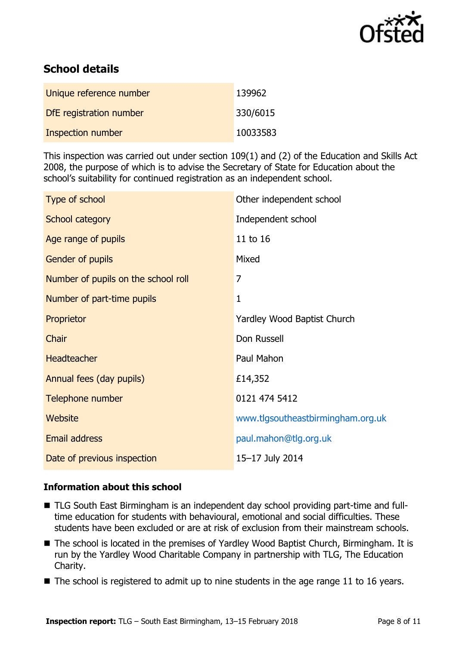

# **School details**

| Unique reference number  | 139962   |
|--------------------------|----------|
| DfE registration number  | 330/6015 |
| <b>Inspection number</b> | 10033583 |

This inspection was carried out under section 109(1) and (2) of the Education and Skills Act 2008, the purpose of which is to advise the Secretary of State for Education about the school's suitability for continued registration as an independent school.

| Type of school                      | Other independent school          |
|-------------------------------------|-----------------------------------|
| School category                     | Independent school                |
| Age range of pupils                 | 11 to 16                          |
| Gender of pupils                    | Mixed                             |
| Number of pupils on the school roll | 7                                 |
| Number of part-time pupils          | 1                                 |
| Proprietor                          | Yardley Wood Baptist Church       |
| Chair                               | Don Russell                       |
| <b>Headteacher</b>                  | Paul Mahon                        |
| Annual fees (day pupils)            | £14,352                           |
| Telephone number                    | 0121 474 5412                     |
| Website                             | www.tlgsoutheastbirmingham.org.uk |
| <b>Email address</b>                | paul.mahon@tlg.org.uk             |
| Date of previous inspection         | 15-17 July 2014                   |

#### **Information about this school**

- TLG South East Birmingham is an independent day school providing part-time and fulltime education for students with behavioural, emotional and social difficulties. These students have been excluded or are at risk of exclusion from their mainstream schools.
- The school is located in the premises of Yardley Wood Baptist Church, Birmingham. It is run by the Yardley Wood Charitable Company in partnership with TLG, The Education Charity.
- $\blacksquare$  The school is registered to admit up to nine students in the age range 11 to 16 years.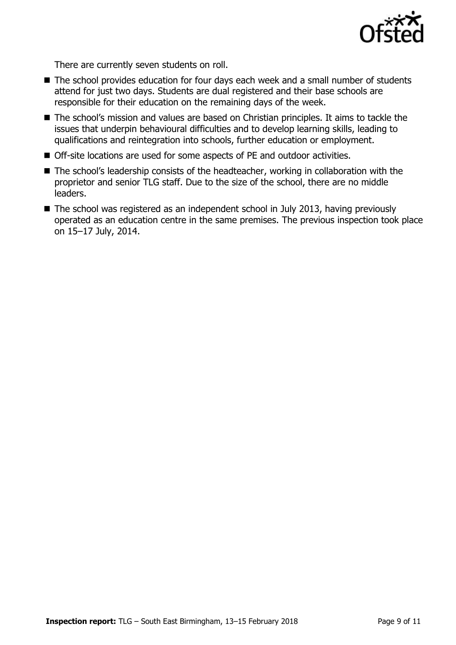

There are currently seven students on roll.

- The school provides education for four days each week and a small number of students attend for just two days. Students are dual registered and their base schools are responsible for their education on the remaining days of the week.
- The school's mission and values are based on Christian principles. It aims to tackle the issues that underpin behavioural difficulties and to develop learning skills, leading to qualifications and reintegration into schools, further education or employment.
- Off-site locations are used for some aspects of PE and outdoor activities.
- The school's leadership consists of the headteacher, working in collaboration with the proprietor and senior TLG staff. Due to the size of the school, there are no middle leaders.
- The school was registered as an independent school in July 2013, having previously operated as an education centre in the same premises. The previous inspection took place on 15–17 July, 2014.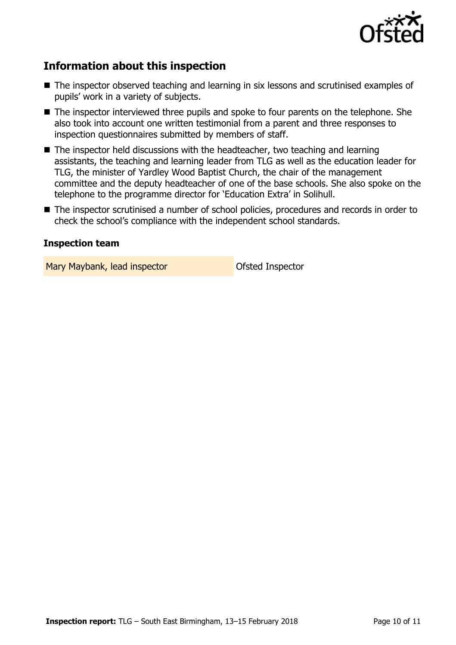

## **Information about this inspection**

- The inspector observed teaching and learning in six lessons and scrutinised examples of pupils' work in a variety of subjects.
- The inspector interviewed three pupils and spoke to four parents on the telephone. She also took into account one written testimonial from a parent and three responses to inspection questionnaires submitted by members of staff.
- The inspector held discussions with the headteacher, two teaching and learning assistants, the teaching and learning leader from TLG as well as the education leader for TLG, the minister of Yardley Wood Baptist Church, the chair of the management committee and the deputy headteacher of one of the base schools. She also spoke on the telephone to the programme director for 'Education Extra' in Solihull.
- The inspector scrutinised a number of school policies, procedures and records in order to check the school's compliance with the independent school standards.

#### **Inspection team**

Mary Maybank, lead inspector **National State Inspector**